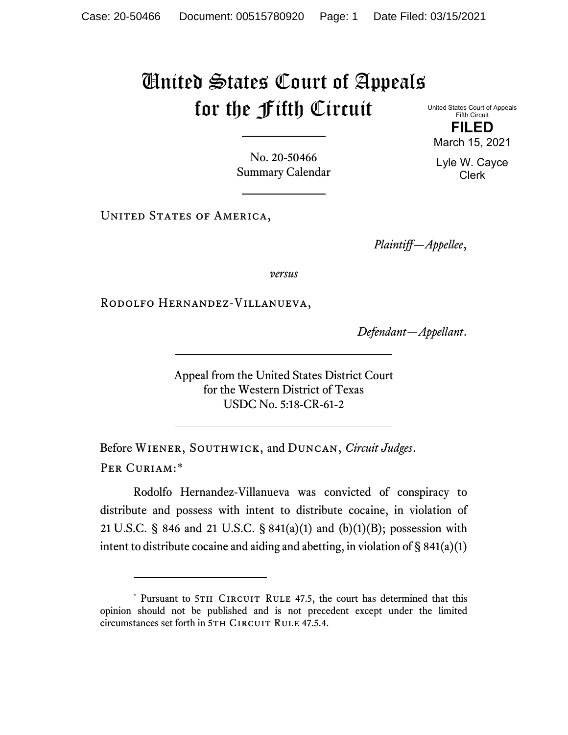## United States Court of Appeals for the Fifth Circuit

United States Court of Appeals Fifth Circuit **FILED**

No. 20-50466 Summary Calendar

UNITED STATES OF AMERICA,

*Plaintiff—Appellee*,

*versus*

Rodolfo Hernandez-Villanueva,

*Defendant—Appellant*.

Appeal from the United States District Court for the Western District of Texas USDC No. 5:18-CR-61-2

Before Wiener, Southwick, and Duncan, *Circuit Judges*. Per Curiam:[\\*](#page-0-0)

Rodolfo Hernandez-Villanueva was convicted of conspiracy to distribute and possess with intent to distribute cocaine, in violation of 21 U.S.C. § 846 and 21 U.S.C. § 841(a)(1) and (b)(1)(B); possession with intent to distribute cocaine and aiding and abetting, in violation of  $\S$  841(a)(1)

March 15, 2021 Lyle W. Cayce

Clerk

<span id="page-0-0"></span><sup>\*</sup> Pursuant to 5TH CIRCUIT RULE 47.5, the court has determined that this opinion should not be published and is not precedent except under the limited circumstances set forth in 5TH CIRCUIT RULE 47.5.4.